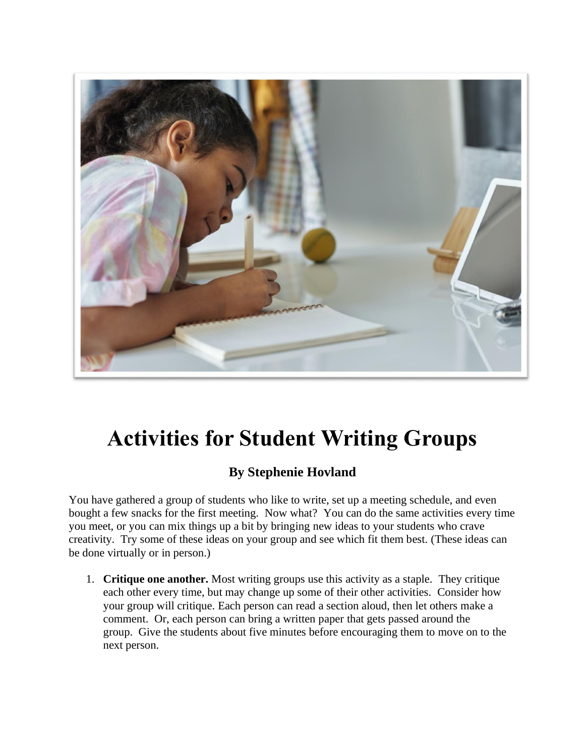

## **Activities for Student Writing Groups**

## **By Stephenie Hovland**

You have gathered a group of students who like to write, set up a meeting schedule, and even bought a few snacks for the first meeting. Now what? You can do the same activities every time you meet, or you can mix things up a bit by bringing new ideas to your students who crave creativity. Try some of these ideas on your group and see which fit them best. (These ideas can be done virtually or in person.)

1. **Critique one another.** Most writing groups use this activity as a staple. They critique each other every time, but may change up some of their other activities. Consider how your group will critique. Each person can read a section aloud, then let others make a comment. Or, each person can bring a written paper that gets passed around the group. Give the students about five minutes before encouraging them to move on to the next person.